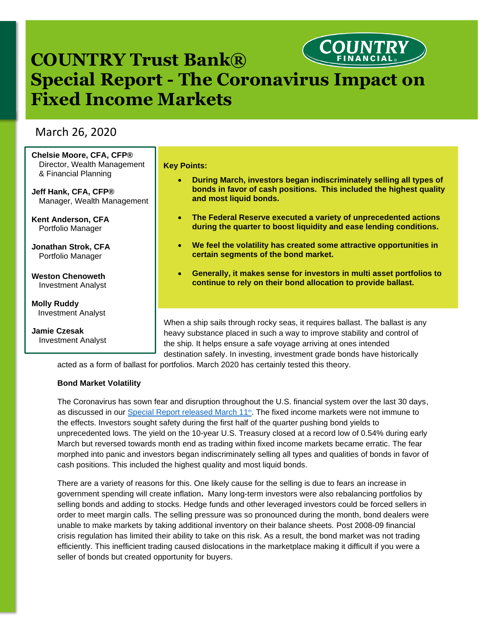# **COUNTRY Trust Bank® Special Report - The Coronavirus Impact on Fixed Income Markets**

# March 26, 2020

| Chelsie Moore, CFA, CFP®<br>Director, Wealth Management<br>& Financial Planning<br>Jeff Hank, CFA, CFP®<br>Manager, Wealth Management | <b>Key Points:</b><br>During March, investors began indiscriminately selling all types of<br>$\bullet$<br>bonds in favor of cash positions. This included the highest quality<br>and most liquid bonds.                        |
|---------------------------------------------------------------------------------------------------------------------------------------|--------------------------------------------------------------------------------------------------------------------------------------------------------------------------------------------------------------------------------|
| <b>Kent Anderson, CFA</b><br>Portfolio Manager                                                                                        | The Federal Reserve executed a variety of unprecedented actions<br>$\bullet$<br>during the quarter to boost liquidity and ease lending conditions.                                                                             |
| <b>Jonathan Strok, CFA</b><br>Portfolio Manager                                                                                       | We feel the volatility has created some attractive opportunities in<br>$\bullet$<br>certain segments of the bond market.                                                                                                       |
| <b>Weston Chenoweth</b><br><b>Investment Analyst</b>                                                                                  | Generally, it makes sense for investors in multi asset portfolios to<br>continue to rely on their bond allocation to provide ballast.                                                                                          |
| <b>Molly Ruddy</b>                                                                                                                    |                                                                                                                                                                                                                                |
| Investment Analyst                                                                                                                    |                                                                                                                                                                                                                                |
| Jamie Czesak<br><b>Investment Analyst</b>                                                                                             | When a ship sails through rocky seas, it requires ballast. The ballast is any<br>heavy substance placed in such a way to improve stability and control of<br>the ship. It helps ensure a safe voyage arriving at ones intended |

acted as a form of ballast for portfolios. March 2020 has certainly tested this theory.

#### **Bond Market Volatility**

The Coronavirus has sown fear and disruption throughout the U.S. financial system over the last 30 days, as discussed in our [Special Report released March 11](https://www.countryfinancial.com/en/tools-resources/market-economic-insights/2020-march-special-report.html)<sup>th</sup>. The fixed income markets were not immune to the effects. Investors sought safety during the first half of the quarter pushing bond yields to unprecedented lows. The yield on the 10-year U.S. Treasury closed at a record low of 0.54% during early March but reversed towards month end as trading within fixed income markets became erratic. The fear morphed into panic and investors began indiscriminately selling all types and qualities of bonds in favor of cash positions. This included the highest quality and most liquid bonds.

destination safely. In investing, investment grade bonds have historically

There are a variety of reasons for this. One likely cause for the selling is due to fears an increase in government spending will create inflation**.** Many long-term investors were also rebalancing portfolios by selling bonds and adding to stocks. Hedge funds and other leveraged investors could be forced sellers in order to meet margin calls. The selling pressure was so pronounced during the month, bond dealers were unable to make markets by taking additional inventory on their balance sheets. Post 2008-09 financial crisis regulation has limited their ability to take on this risk. As a result, the bond market was not trading efficiently. This inefficient trading caused dislocations in the marketplace making it difficult if you were a seller of bonds but created opportunity for buyers.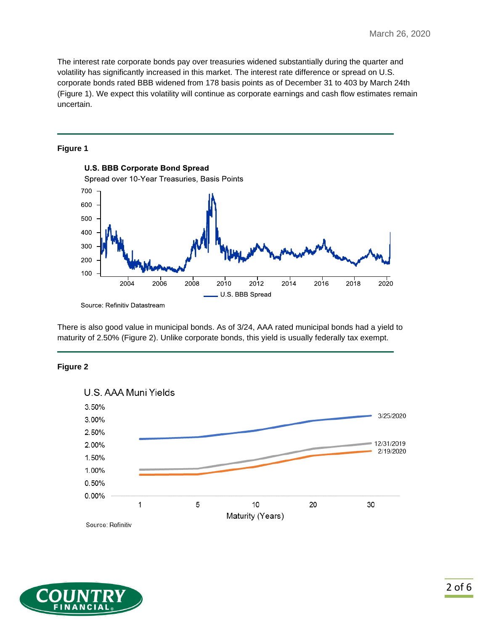The interest rate corporate bonds pay over treasuries widened substantially during the quarter and volatility has significantly increased in this market. The interest rate difference or spread on U.S. corporate bonds rated BBB widened from 178 basis points as of December 31 to 403 by March 24th (Figure 1). We expect this volatility will continue as corporate earnings and cash flow estimates remain uncertain.

### **Figure 1**



There is also good value in municipal bonds. As of 3/24, AAA rated municipal bonds had a yield to maturity of 2.50% (Figure 2). Unlike corporate bonds, this yield is usually federally tax exempt.



## **Figure 2**



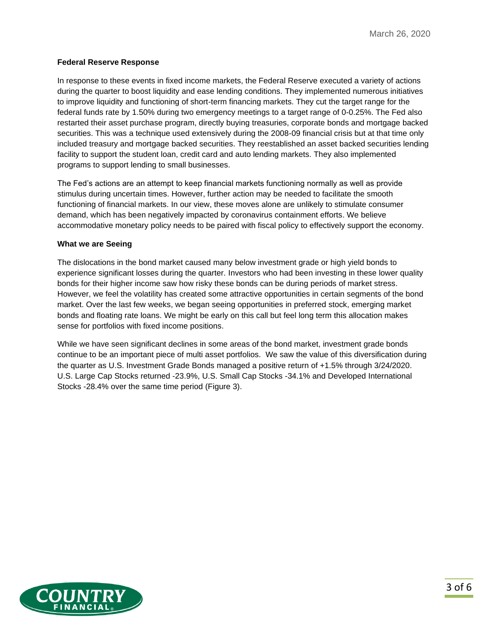### **Federal Reserve Response**

In response to these events in fixed income markets, the Federal Reserve executed a variety of actions during the quarter to boost liquidity and ease lending conditions. They implemented numerous initiatives to improve liquidity and functioning of short-term financing markets. They cut the target range for the federal funds rate by 1.50% during two emergency meetings to a target range of 0-0.25%. The Fed also restarted their asset purchase program, directly buying treasuries, corporate bonds and mortgage backed securities. This was a technique used extensively during the 2008-09 financial crisis but at that time only included treasury and mortgage backed securities. They reestablished an asset backed securities lending facility to support the student loan, credit card and auto lending markets. They also implemented programs to support lending to small businesses.

The Fed's actions are an attempt to keep financial markets functioning normally as well as provide stimulus during uncertain times. However, further action may be needed to facilitate the smooth functioning of financial markets. In our view, these moves alone are unlikely to stimulate consumer demand, which has been negatively impacted by coronavirus containment efforts. We believe accommodative monetary policy needs to be paired with fiscal policy to effectively support the economy.

#### **What we are Seeing**

The dislocations in the bond market caused many below investment grade or high yield bonds to experience significant losses during the quarter. Investors who had been investing in these lower quality bonds for their higher income saw how risky these bonds can be during periods of market stress. However, we feel the volatility has created some attractive opportunities in certain segments of the bond market. Over the last few weeks, we began seeing opportunities in preferred stock, emerging market bonds and floating rate loans. We might be early on this call but feel long term this allocation makes sense for portfolios with fixed income positions.

While we have seen significant declines in some areas of the bond market, investment grade bonds continue to be an important piece of multi asset portfolios. We saw the value of this diversification during the quarter as U.S. Investment Grade Bonds managed a positive return of +1.5% through 3/24/2020. U.S. Large Cap Stocks returned -23.9%, U.S. Small Cap Stocks -34.1% and Developed International Stocks -28.4% over the same time period (Figure 3).

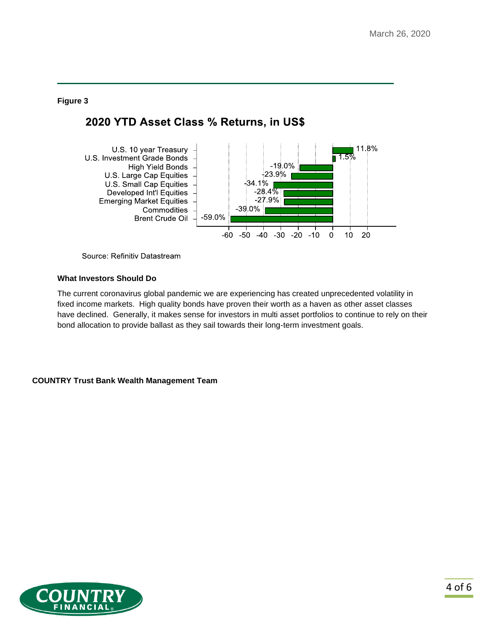### **Figure 3**

## 2020 YTD Asset Class % Returns, in US\$



Source: Refinitiv Datastream

#### **What Investors Should Do**

The current coronavirus global pandemic we are experiencing has created unprecedented volatility in fixed income markets. High quality bonds have proven their worth as a haven as other asset classes have declined. Generally, it makes sense for investors in multi asset portfolios to continue to rely on their bond allocation to provide ballast as they sail towards their long-term investment goals.

#### **COUNTRY Trust Bank Wealth Management Team**

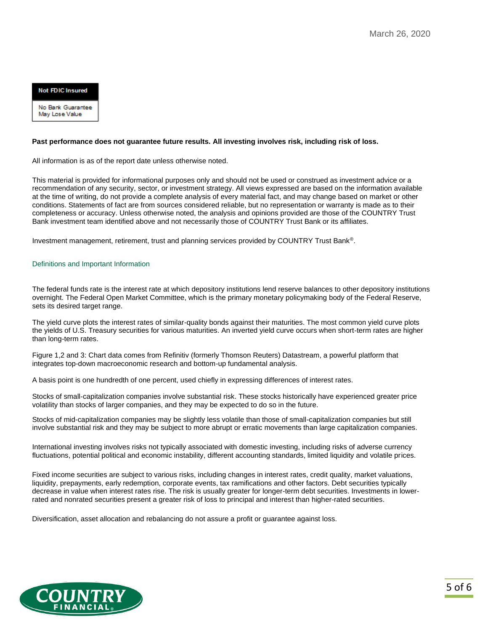**Not FDIC Insured** 

No Bank Guarantee May Lose Value

#### **Past performance does not guarantee future results. All investing involves risk, including risk of loss.**

All information is as of the report date unless otherwise noted.

This material is provided for informational purposes only and should not be used or construed as investment advice or a recommendation of any security, sector, or investment strategy. All views expressed are based on the information available at the time of writing, do not provide a complete analysis of every material fact, and may change based on market or other conditions. Statements of fact are from sources considered reliable, but no representation or warranty is made as to their completeness or accuracy. Unless otherwise noted, the analysis and opinions provided are those of the COUNTRY Trust Bank investment team identified above and not necessarily those of COUNTRY Trust Bank or its affiliates.

Investment management, retirement, trust and planning services provided by COUNTRY Trust Bank®.

#### Definitions and Important Information

The federal funds rate is the interest rate at which depository institutions lend reserve balances to other depository institutions overnight. The Federal Open Market Committee, which is the primary monetary policymaking body of the Federal Reserve, sets its desired target range.

The yield curve plots the interest rates of similar-quality bonds against their maturities. The most common yield curve plots the yields of U.S. Treasury securities for various maturities. An inverted yield curve occurs when short-term rates are higher than long-term rates.

Figure 1,2 and 3: Chart data comes from Refinitiv (formerly Thomson Reuters) Datastream, a powerful platform that integrates top-down macroeconomic research and bottom-up fundamental analysis.

A basis point is one hundredth of one percent, used chiefly in expressing differences of interest rates.

Stocks of small-capitalization companies involve substantial risk. These stocks historically have experienced greater price volatility than stocks of larger companies, and they may be expected to do so in the future.

Stocks of mid-capitalization companies may be slightly less volatile than those of small-capitalization companies but still involve substantial risk and they may be subject to more abrupt or erratic movements than large capitalization companies.

International investing involves risks not typically associated with domestic investing, including risks of adverse currency fluctuations, potential political and economic instability, different accounting standards, limited liquidity and volatile prices.

Fixed income securities are subject to various risks, including changes in interest rates, credit quality, market valuations, liquidity, prepayments, early redemption, corporate events, tax ramifications and other factors. Debt securities typically decrease in value when interest rates rise. The risk is usually greater for longer-term debt securities. Investments in lowerrated and nonrated securities present a greater risk of loss to principal and interest than higher-rated securities.

Diversification, asset allocation and rebalancing do not assure a profit or guarantee against loss.